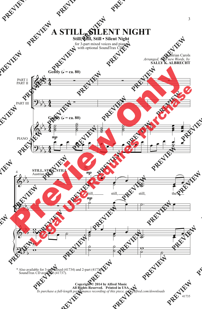**A STILL, SILENT NIGHT**

## **Still, Still, Still • Silent Night**

for 3-part mixed voices and piano with optional SoundTrax CD\*

> Austrian Carols *Arranged, with new Words, by* **SALLY K. ALBRECHT**



\* Also available for 3-part mixed (41734) and 2-part (41736). SoundTrax CD available (41737).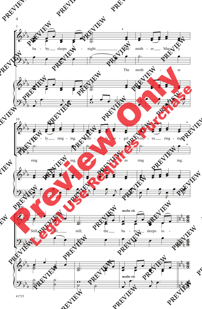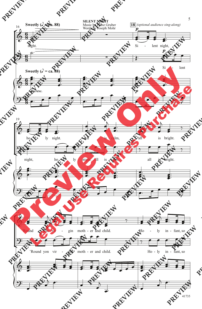